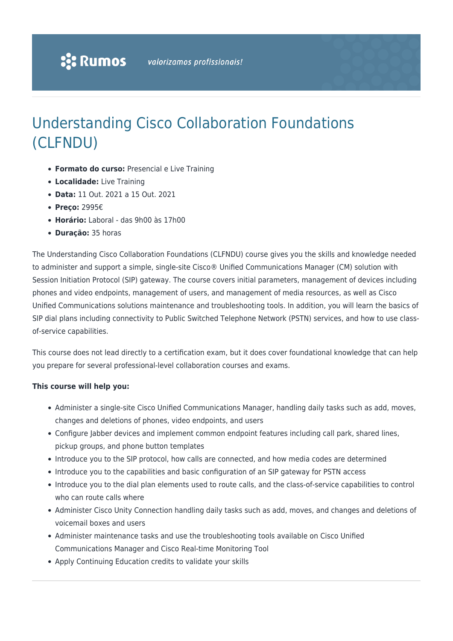# Understanding Cisco Collaboration Foundations (CLFNDU)

- **Formato do curso:** Presencial e Live Training
- **Localidade:** Live Training
- **Data:** 11 Out. 2021 a 15 Out. 2021
- **Preço:** 2995€
- **Horário:** Laboral das 9h00 às 17h00
- **Duração:** 35 horas

The Understanding Cisco Collaboration Foundations (CLFNDU) course gives you the skills and knowledge needed to administer and support a simple, single-site Cisco® Unified Communications Manager (CM) solution with Session Initiation Protocol (SIP) gateway. The course covers initial parameters, management of devices including phones and video endpoints, management of users, and management of media resources, as well as Cisco Unified Communications solutions maintenance and troubleshooting tools. In addition, you will learn the basics of SIP dial plans including connectivity to Public Switched Telephone Network (PSTN) services, and how to use classof-service capabilities.

This course does not lead directly to a certification exam, but it does cover foundational knowledge that can help you prepare for several professional-level collaboration courses and exams.

#### **This course will help you:**

- Administer a single-site Cisco Unified Communications Manager, handling daily tasks such as add, moves, changes and deletions of phones, video endpoints, and users
- Configure Jabber devices and implement common endpoint features including call park, shared lines, pickup groups, and phone button templates
- Introduce you to the SIP protocol, how calls are connected, and how media codes are determined
- Introduce you to the capabilities and basic configuration of an SIP gateway for PSTN access
- Introduce you to the dial plan elements used to route calls, and the class-of-service capabilities to control who can route calls where
- Administer Cisco Unity Connection handling daily tasks such as add, moves, and changes and deletions of voicemail boxes and users
- Administer maintenance tasks and use the troubleshooting tools available on Cisco Unified Communications Manager and Cisco Real-time Monitoring Tool
- Apply Continuing Education credits to validate your skills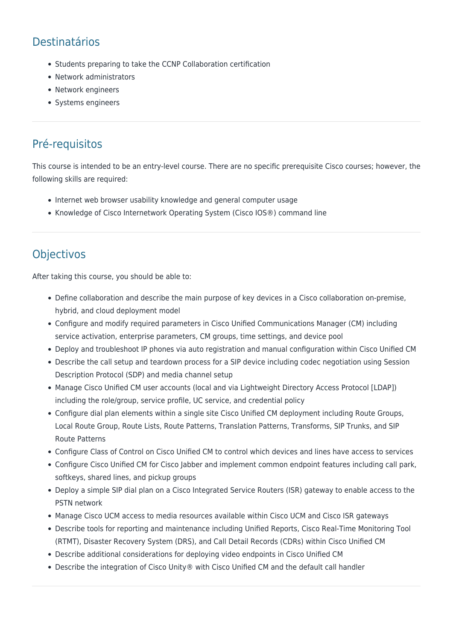## Destinatários

- Students preparing to take the CCNP Collaboration certification
- Network administrators
- Network engineers
- Systems engineers

### Pré-requisitos

This course is intended to be an entry-level course. There are no specific prerequisite Cisco courses; however, the following skills are required:

- Internet web browser usability knowledge and general computer usage
- Knowledge of Cisco Internetwork Operating System (Cisco IOS®) command line

### **Objectivos**

After taking this course, you should be able to:

- Define collaboration and describe the main purpose of key devices in a Cisco collaboration on-premise, hybrid, and cloud deployment model
- Configure and modify required parameters in Cisco Unified Communications Manager (CM) including service activation, enterprise parameters, CM groups, time settings, and device pool
- Deploy and troubleshoot IP phones via auto registration and manual configuration within Cisco Unified CM
- Describe the call setup and teardown process for a SIP device including codec negotiation using Session Description Protocol (SDP) and media channel setup
- Manage Cisco Unified CM user accounts (local and via Lightweight Directory Access Protocol [LDAP]) including the role/group, service profile, UC service, and credential policy
- Configure dial plan elements within a single site Cisco Unified CM deployment including Route Groups, Local Route Group, Route Lists, Route Patterns, Translation Patterns, Transforms, SIP Trunks, and SIP Route Patterns
- Configure Class of Control on Cisco Unified CM to control which devices and lines have access to services
- Configure Cisco Unified CM for Cisco Jabber and implement common endpoint features including call park, softkeys, shared lines, and pickup groups
- Deploy a simple SIP dial plan on a Cisco Integrated Service Routers (ISR) gateway to enable access to the PSTN network
- Manage Cisco UCM access to media resources available within Cisco UCM and Cisco ISR gateways
- Describe tools for reporting and maintenance including Unified Reports, Cisco Real-Time Monitoring Tool (RTMT), Disaster Recovery System (DRS), and Call Detail Records (CDRs) within Cisco Unified CM
- Describe additional considerations for deploying video endpoints in Cisco Unified CM
- Describe the integration of Cisco Unity® with Cisco Unified CM and the default call handler